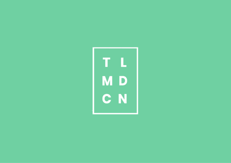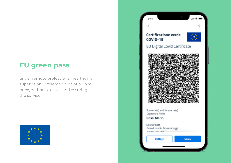## **EU green pass**

under remote professional healthcare supervision in telemedicine at a good price, without queues and assuring the service.



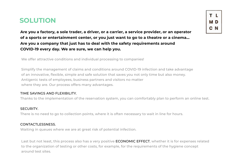## **SOLUTION**

**Are you a factory, a sole trader, a driver, or a carrier, a service provider, or an operator of a sports or entertainment center, or you just want to go to a theatre or a cinema... Are you a company that just has to deal with the safety requirements around COVID-19 every day. We are sure, we can help you.**

We offer attractive conditions and individual processing to companies!

Simplify the management of claims and conditions around COVID-19 infection and take advantage of an innovative, flexible, simple and safe solution that saves you not only time but also money. Antigenic tests of employees, business partners and visitors no matter where they are. Our process offers many advantages.

#### TIME SAVINGS AND FLEXIBILITY.

Thanks to the implementation of the reservation system, you can comfortably plan to perform an online test.

#### SECURITY.

There is no need to go to collection points, where it is often necessary to wait in line for hours.

#### CONTACTLESSNESS.

Waiting in queues where we are at great risk of potential infection.

Last but not least, this process also has a very positive **ECONOMIC EFFECT**, whether it is for expenses related to the organization of testing or other costs, for example, for the requirements of the hygiene concept around test sites.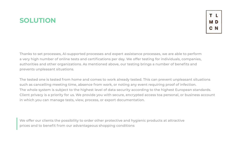# **SOLUTION**

Thanks to set processes, AI-supported processes and expert assistance processes, we are able to perform a very high number of online tests and certifications per day. We offer testing for individuals, companies, authorities and other organizations. As mentioned above, our testing brings a number of benefits and prevents unpleasant situations.

The tested one is tested from home and comes to work already tested. This can prevent unpleasant situations such as cancelling meeting time, absence from work, or noting any event requiring proof of infection. The whole system is subject to the highest level of data security according to the highest European standards. Client privacy is a priority for us. We provide you with secure, encrypted access toa personal, or business account in which you can manage tests, view, process, or export documentation.

We offer our clients the possibility to order other protective and hygienic products at attractive prices and to benefit from our advantageous shopping conditions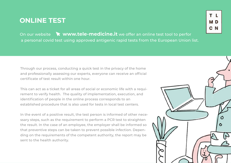## **ONLINE TEST**

M D

On our website **www.tele-medicine.it** we offer an online test tool to perfor a personal covid test using approved antigenic rapid tests from the European Union list.

Through our process, conducting a quick test in the privacy of the home and professionally assessing our experts, everyone can receive an official certificate of test result within one hour.

This can act as a ticket for all areas of social or economic life with a requirement to verify health. The quality of implementation, execution, and identification of people in the online process corresponds to an established procedure that is also used for tests in local test centers.

In the event of a positive result, the test person is informed of other necessary steps, such as the requirement to perform a PCR test to straighten the result. In the case of an employee, the employer shall be informed so that preventive steps can be taken to prevent possible infection. Depending on the requirements of the competent authority, the report may be sent to the health authority.

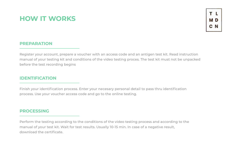# **HOW IT WORKS**

### **PREPARATION**

Register your account, prepare a voucher with an access code and an antigen test kit. Read instruction manual of your testing kit and conditions of the video testing proces. The test kit must not be unpacked before the test recording begins

#### **IDENTIFICATION**

Finish your identification process. Enter your necesary personal detail to pass thru identification process. Use your voucher access code and go to the online testing.

#### **PROCESSING**

Perform the testing according to the conditions of the video testing process and according to the manual of your test kit. Wait for test results. Usually 10-15 min. In case of a negative result, download the certificate.